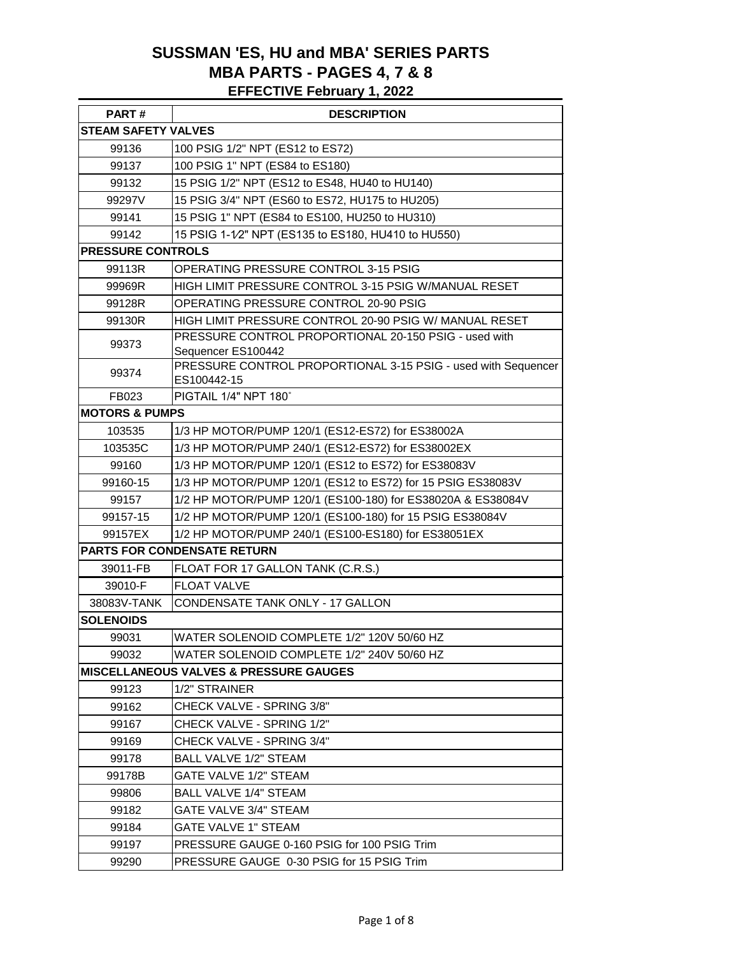#### **SUSSMAN 'ES, HU and MBA' SERIES PARTS MBA PARTS - PAGES 4, 7 & 8 EFFECTIVE February 1, 2022**

| PART#                      | <b>DESCRIPTION</b>                                                           |  |  |
|----------------------------|------------------------------------------------------------------------------|--|--|
| <b>STEAM SAFETY VALVES</b> |                                                                              |  |  |
| 99136                      | 100 PSIG 1/2" NPT (ES12 to ES72)                                             |  |  |
| 99137                      | 100 PSIG 1" NPT (ES84 to ES180)                                              |  |  |
| 99132                      | 15 PSIG 1/2" NPT (ES12 to ES48, HU40 to HU140)                               |  |  |
| 99297V                     | 15 PSIG 3/4" NPT (ES60 to ES72, HU175 to HU205)                              |  |  |
| 99141                      | 15 PSIG 1" NPT (ES84 to ES100, HU250 to HU310)                               |  |  |
| 99142                      | 15 PSIG 1-1/2" NPT (ES135 to ES180, HU410 to HU550)                          |  |  |
| <b>PRESSURE CONTROLS</b>   |                                                                              |  |  |
| 99113R                     | OPERATING PRESSURE CONTROL 3-15 PSIG                                         |  |  |
| 99969R                     | HIGH LIMIT PRESSURE CONTROL 3-15 PSIG W/MANUAL RESET                         |  |  |
| 99128R                     | OPERATING PRESSURE CONTROL 20-90 PSIG                                        |  |  |
| 99130R                     | HIGH LIMIT PRESSURE CONTROL 20-90 PSIG W/ MANUAL RESET                       |  |  |
| 99373                      | PRESSURE CONTROL PROPORTIONAL 20-150 PSIG - used with<br>Sequencer ES100442  |  |  |
| 99374                      | PRESSURE CONTROL PROPORTIONAL 3-15 PSIG - used with Sequencer<br>ES100442-15 |  |  |
| FB023                      | PIGTAIL 1/4" NPT 180°                                                        |  |  |
| <b>MOTORS &amp; PUMPS</b>  |                                                                              |  |  |
| 103535                     | 1/3 HP MOTOR/PUMP 120/1 (ES12-ES72) for ES38002A                             |  |  |
| 103535C                    | 1/3 HP MOTOR/PUMP 240/1 (ES12-ES72) for ES38002EX                            |  |  |
| 99160                      | 1/3 HP MOTOR/PUMP 120/1 (ES12 to ES72) for ES38083V                          |  |  |
| 99160-15                   | 1/3 HP MOTOR/PUMP 120/1 (ES12 to ES72) for 15 PSIG ES38083V                  |  |  |
| 99157                      | 1/2 HP MOTOR/PUMP 120/1 (ES100-180) for ES38020A & ES38084V                  |  |  |
| 99157-15                   | 1/2 HP MOTOR/PUMP 120/1 (ES100-180) for 15 PSIG ES38084V                     |  |  |
| 99157EX                    | 1/2 HP MOTOR/PUMP 240/1 (ES100-ES180) for ES38051EX                          |  |  |
|                            | <b>PARTS FOR CONDENSATE RETURN</b>                                           |  |  |
| 39011-FB                   | FLOAT FOR 17 GALLON TANK (C.R.S.)                                            |  |  |
| 39010-F                    | <b>FLOAT VALVE</b>                                                           |  |  |
| 38083V-TANK                | CONDENSATE TANK ONLY - 17 GALLON                                             |  |  |
| <b>SOLENOIDS</b>           |                                                                              |  |  |
| 99031                      | WATER SOLENOID COMPLETE 1/2" 120V 50/60 HZ                                   |  |  |
| 99032                      | WATER SOLENOID COMPLETE 1/2" 240V 50/60 HZ                                   |  |  |
|                            | <b>MISCELLANEOUS VALVES &amp; PRESSURE GAUGES</b>                            |  |  |
| 99123                      | 1/2" STRAINER                                                                |  |  |
| 99162                      | CHECK VALVE - SPRING 3/8"                                                    |  |  |
| 99167                      | CHECK VALVE - SPRING 1/2"                                                    |  |  |
| 99169                      | CHECK VALVE - SPRING 3/4"                                                    |  |  |
| 99178                      | <b>BALL VALVE 1/2" STEAM</b>                                                 |  |  |
| 99178B                     | GATE VALVE 1/2" STEAM                                                        |  |  |
| 99806                      | <b>BALL VALVE 1/4" STEAM</b>                                                 |  |  |
| 99182                      | GATE VALVE 3/4" STEAM                                                        |  |  |
| 99184                      | <b>GATE VALVE 1" STEAM</b>                                                   |  |  |
| 99197                      | PRESSURE GAUGE 0-160 PSIG for 100 PSIG Trim                                  |  |  |
| 99290                      | PRESSURE GAUGE 0-30 PSIG for 15 PSIG Trim                                    |  |  |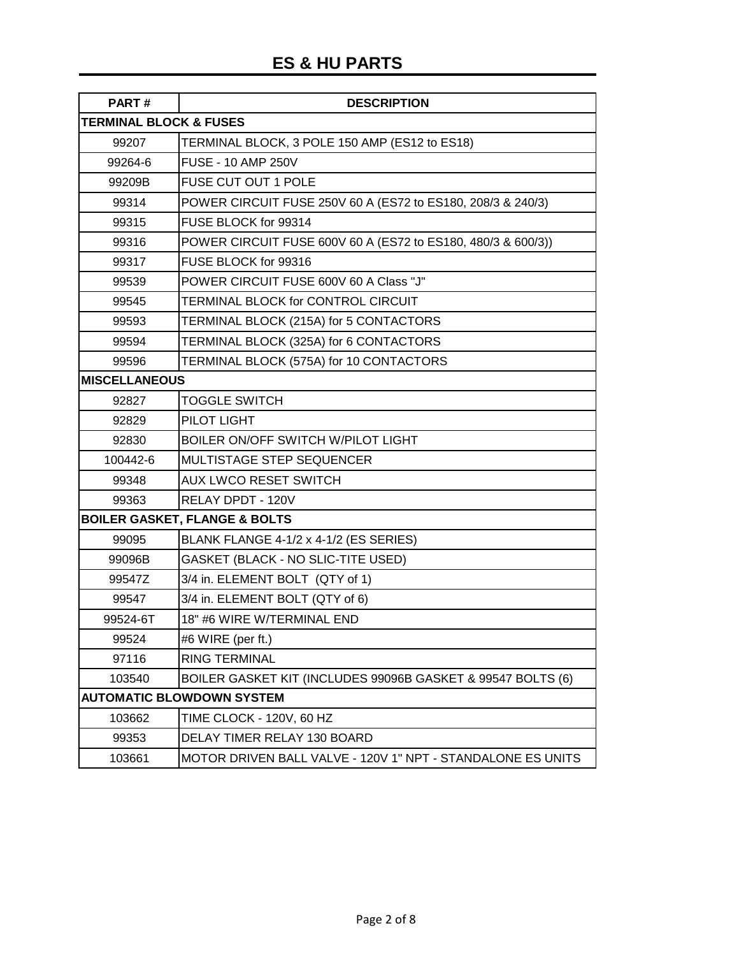# **ES & HU PARTS**

| PART#                             | <b>DESCRIPTION</b>                                           |
|-----------------------------------|--------------------------------------------------------------|
| <b>TERMINAL BLOCK &amp; FUSES</b> |                                                              |
| 99207                             | TERMINAL BLOCK, 3 POLE 150 AMP (ES12 to ES18)                |
| 99264-6                           | <b>FUSE - 10 AMP 250V</b>                                    |
| 99209B                            | FUSE CUT OUT 1 POLE                                          |
| 99314                             | POWER CIRCUIT FUSE 250V 60 A (ES72 to ES180, 208/3 & 240/3)  |
| 99315                             | FUSE BLOCK for 99314                                         |
| 99316                             | POWER CIRCUIT FUSE 600V 60 A (ES72 to ES180, 480/3 & 600/3)) |
| 99317                             | FUSE BLOCK for 99316                                         |
| 99539                             | POWER CIRCUIT FUSE 600V 60 A Class "J"                       |
| 99545                             | TERMINAL BLOCK for CONTROL CIRCUIT                           |
| 99593                             | TERMINAL BLOCK (215A) for 5 CONTACTORS                       |
| 99594                             | TERMINAL BLOCK (325A) for 6 CONTACTORS                       |
| 99596                             | TERMINAL BLOCK (575A) for 10 CONTACTORS                      |
| <b>MISCELLANEOUS</b>              |                                                              |
| 92827                             | <b>TOGGLE SWITCH</b>                                         |
| 92829                             | PILOT LIGHT                                                  |
| 92830                             | BOILER ON/OFF SWITCH W/PILOT LIGHT                           |
| 100442-6                          | MULTISTAGE STEP SEQUENCER                                    |
| 99348                             | <b>AUX LWCO RESET SWITCH</b>                                 |
| 99363                             | RELAY DPDT - 120V                                            |
|                                   | <b>BOILER GASKET, FLANGE &amp; BOLTS</b>                     |
| 99095                             | BLANK FLANGE 4-1/2 x 4-1/2 (ES SERIES)                       |
| 99096B                            | GASKET (BLACK - NO SLIC-TITE USED)                           |
| 99547Z                            | 3/4 in. ELEMENT BOLT (QTY of 1)                              |
| 99547                             | 3/4 in. ELEMENT BOLT (QTY of 6)                              |
| 99524-6T                          | 18" #6 WIRE W/TERMINAL END                                   |
| 99524                             | #6 WIRE (per ft.)                                            |
| 97116                             | <b>RING TERMINAL</b>                                         |
| 103540                            | BOILER GASKET KIT (INCLUDES 99096B GASKET & 99547 BOLTS (6)  |
|                                   | <b>AUTOMATIC BLOWDOWN SYSTEM</b>                             |
| 103662                            | TIME CLOCK - 120V, 60 HZ                                     |
| 99353                             | DELAY TIMER RELAY 130 BOARD                                  |
| 103661                            | MOTOR DRIVEN BALL VALVE - 120V 1" NPT - STANDALONE ES UNITS  |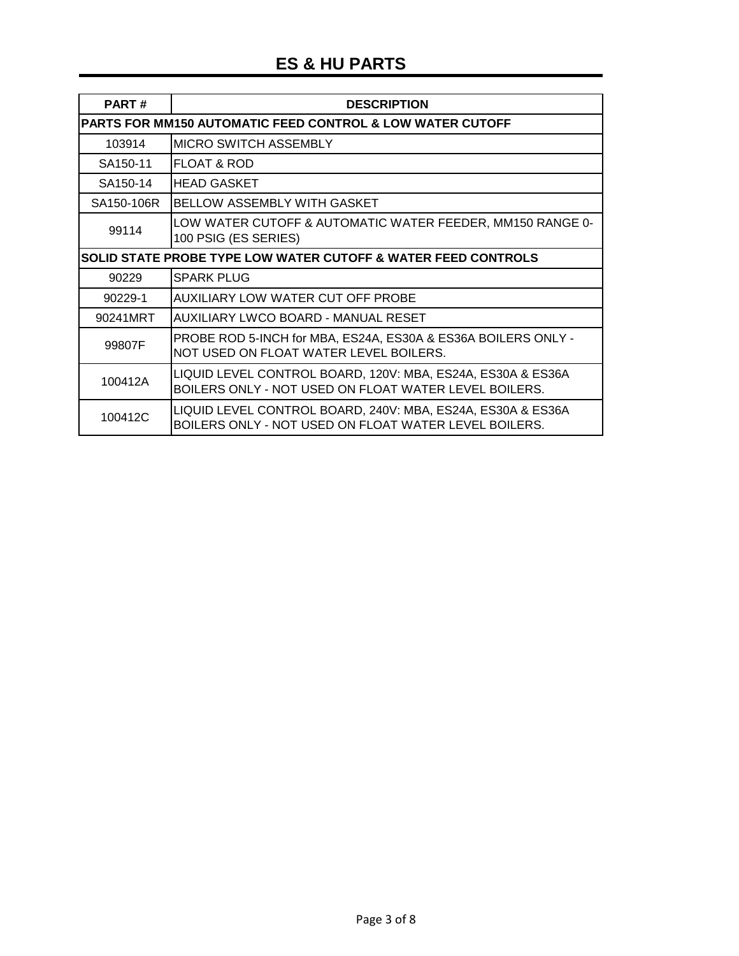| PART#      | <b>DESCRIPTION</b>                                                                                                   |
|------------|----------------------------------------------------------------------------------------------------------------------|
|            | <b>PARTS FOR MM150 AUTOMATIC FEED CONTROL &amp; LOW WATER CUTOFF</b>                                                 |
| 103914     | <b>MICRO SWITCH ASSEMBLY</b>                                                                                         |
| SA150-11   | <b>FLOAT &amp; ROD</b>                                                                                               |
| SA150-14   | IHEAD GASKET                                                                                                         |
| SA150-106R | <b>BELLOW ASSEMBLY WITH GASKET</b>                                                                                   |
| 99114      | LOW WATER CUTOFF & AUTOMATIC WATER FEEDER, MM150 RANGE 0-<br>100 PSIG (ES SERIES)                                    |
|            | SOLID STATE PROBE TYPE LOW WATER CUTOFF & WATER FEED CONTROLS                                                        |
| 90229      | <b>SPARK PLUG</b>                                                                                                    |
| 90229-1    | AUXILIARY LOW WATER CUT OFF PROBE                                                                                    |
| 90241MRT   | AUXILIARY LWCO BOARD - MANUAL RESET                                                                                  |
| 99807F     | PROBE ROD 5-INCH for MBA, ES24A, ES30A & ES36A BOILERS ONLY -<br>NOT USED ON FLOAT WATER LEVEL BOILERS.              |
| 100412A    | LIQUID LEVEL CONTROL BOARD, 120V: MBA, ES24A, ES30A & ES36A<br>BOILERS ONLY - NOT USED ON FLOAT WATER LEVEL BOILERS. |
| 100412C    | LIQUID LEVEL CONTROL BOARD, 240V: MBA, ES24A, ES30A & ES36A<br>BOILERS ONLY - NOT USED ON FLOAT WATER LEVEL BOILERS. |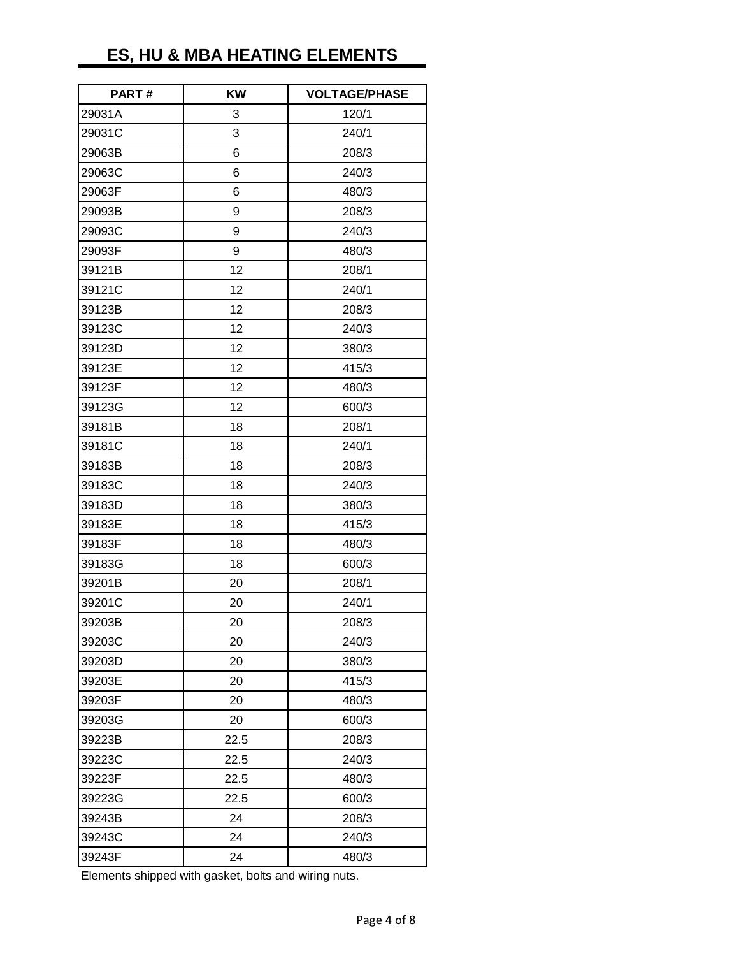# **ES, HU & MBA HEATING ELEMENTS**

| PART#  | KW   | <b>VOLTAGE/PHASE</b> |
|--------|------|----------------------|
| 29031A | 3    | 120/1                |
| 29031C | 3    | 240/1                |
| 29063B | 6    | 208/3                |
| 29063C | 6    | 240/3                |
| 29063F | 6    | 480/3                |
| 29093B | 9    | 208/3                |
| 29093C | 9    | 240/3                |
| 29093F | 9    | 480/3                |
| 39121B | 12   | 208/1                |
| 39121C | 12   | 240/1                |
| 39123B | 12   | 208/3                |
| 39123C | 12   | 240/3                |
| 39123D | 12   | 380/3                |
| 39123E | 12   | 415/3                |
| 39123F | 12   | 480/3                |
| 39123G | 12   | 600/3                |
| 39181B | 18   | 208/1                |
| 39181C | 18   | 240/1                |
| 39183B | 18   | 208/3                |
| 39183C | 18   | 240/3                |
| 39183D | 18   | 380/3                |
| 39183E | 18   | 415/3                |
| 39183F | 18   | 480/3                |
| 39183G | 18   | 600/3                |
| 39201B | 20   | 208/1                |
| 39201C | 20   | 240/1                |
| 39203B | 20   | 208/3                |
| 39203C | 20   | 240/3                |
| 39203D | 20   | 380/3                |
| 39203E | 20   | 415/3                |
| 39203F | 20   | 480/3                |
| 39203G | 20   | 600/3                |
| 39223B | 22.5 | 208/3                |
| 39223C | 22.5 | 240/3                |
| 39223F | 22.5 | 480/3                |
| 39223G | 22.5 | 600/3                |
| 39243B | 24   | 208/3                |
| 39243C | 24   | 240/3                |
| 39243F | 24   | 480/3                |

Elements shipped with gasket, bolts and wiring nuts.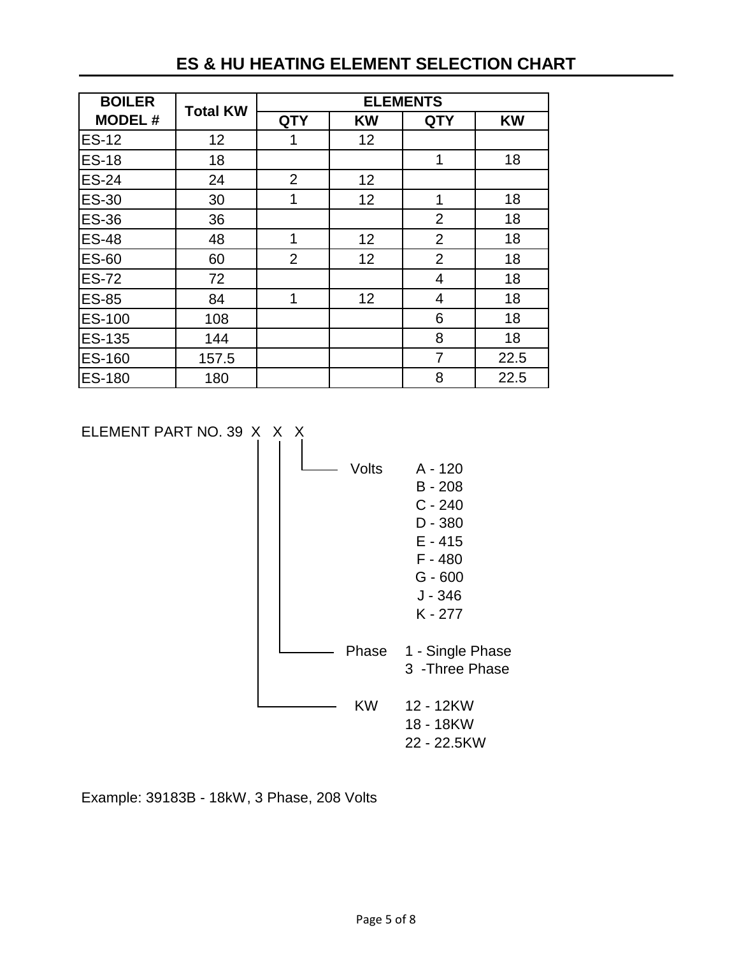# **ES & HU HEATING ELEMENT SELECTION CHART**

| <b>BOILER</b> |                 | <b>ELEMENTS</b> |           |                |           |
|---------------|-----------------|-----------------|-----------|----------------|-----------|
| <b>MODEL#</b> | <b>Total KW</b> | <b>QTY</b>      | <b>KW</b> | <b>QTY</b>     | <b>KW</b> |
| <b>ES-12</b>  | 12              | 1               | 12        |                |           |
| <b>ES-18</b>  | 18              |                 |           | 1              | 18        |
| <b>ES-24</b>  | 24              | $\overline{2}$  | 12        |                |           |
| <b>ES-30</b>  | 30              | 1               | 12        | 1              | 18        |
| <b>ES-36</b>  | 36              |                 |           | $\overline{2}$ | 18        |
| <b>ES-48</b>  | 48              | 1               | 12        | $\overline{2}$ | 18        |
| <b>ES-60</b>  | 60              | 2               | 12        | $\overline{2}$ | 18        |
| <b>ES-72</b>  | 72              |                 |           | 4              | 18        |
| <b>ES-85</b>  | 84              | 1               | 12        | $\overline{4}$ | 18        |
| ES-100        | 108             |                 |           | 6              | 18        |
| ES-135        | 144             |                 |           | 8              | 18        |
| ES-160        | 157.5           |                 |           | $\overline{7}$ | 22.5      |
| <b>ES-180</b> | 180             |                 |           | 8              | 22.5      |

ELEMENT PART NO. 39 X X X



Example: 39183B - 18kW, 3 Phase, 208 Volts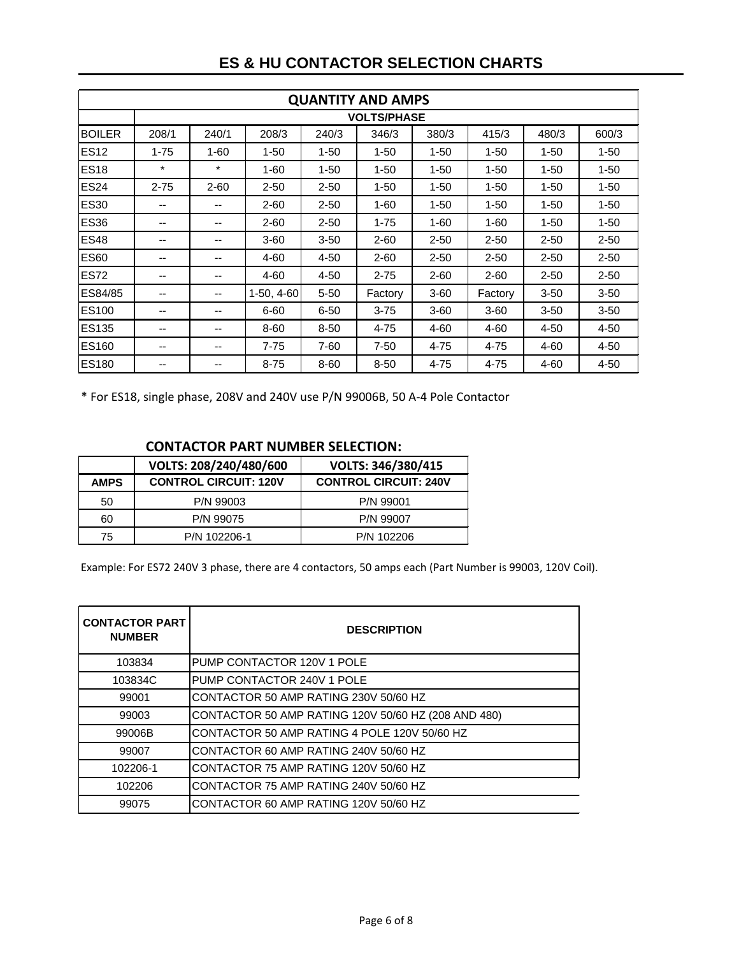| <b>QUANTITY AND AMPS</b> |          |          |              |          |                    |          |          |          |          |
|--------------------------|----------|----------|--------------|----------|--------------------|----------|----------|----------|----------|
|                          |          |          |              |          | <b>VOLTS/PHASE</b> |          |          |          |          |
| <b>BOILER</b>            | 208/1    | 240/1    | 208/3        | 240/3    | 346/3              | 380/3    | 415/3    | 480/3    | 600/3    |
| <b>ES12</b>              | $1 - 75$ | $1 - 60$ | $1 - 50$     | $1 - 50$ | $1 - 50$           | $1 - 50$ | $1 - 50$ | $1 - 50$ | $1 - 50$ |
| <b>ES18</b>              | $\star$  | $\star$  | $1 - 60$     | $1 - 50$ | $1 - 50$           | $1 - 50$ | $1 - 50$ | $1 - 50$ | $1 - 50$ |
| <b>ES24</b>              | $2 - 75$ | $2 - 60$ | $2 - 50$     | $2 - 50$ | $1 - 50$           | $1 - 50$ | $1 - 50$ | $1 - 50$ | $1 - 50$ |
| <b>ES30</b>              | --       | --       | $2 - 60$     | $2 - 50$ | $1 - 60$           | $1 - 50$ | $1 - 50$ | $1 - 50$ | $1 - 50$ |
| <b>ES36</b>              | --       | --       | $2 - 60$     | $2 - 50$ | $1 - 75$           | $1 - 60$ | $1 - 60$ | $1 - 50$ | $1 - 50$ |
| <b>ES48</b>              | --       | --       | $3 - 60$     | $3 - 50$ | $2 - 60$           | $2 - 50$ | $2 - 50$ | $2 - 50$ | $2 - 50$ |
| <b>ES60</b>              | --       | --       | 4-60         | $4 - 50$ | $2 - 60$           | $2 - 50$ | $2 - 50$ | $2 - 50$ | $2 - 50$ |
| <b>ES72</b>              | --       | --       | 4-60         | $4 - 50$ | $2 - 75$           | $2 - 60$ | $2 - 60$ | $2 - 50$ | $2 - 50$ |
| ES84/85                  | --       | --       | $1-50, 4-60$ | $5 - 50$ | Factory            | $3 - 60$ | Factory  | $3 - 50$ | $3 - 50$ |
| <b>ES100</b>             | --       | --       | $6 - 60$     | $6 - 50$ | $3 - 75$           | $3 - 60$ | $3 - 60$ | $3 - 50$ | $3 - 50$ |
| <b>ES135</b>             | --       | --       | 8-60         | $8 - 50$ | 4-75               | 4-60     | $4 - 60$ | $4 - 50$ | $4 - 50$ |
| ES160                    | --       | --       | $7 - 75$     | 7-60     | $7 - 50$           | 4-75     | 4-75     | $4 - 60$ | 4-50     |
| <b>ES180</b>             | --       | --       | $8 - 75$     | 8-60     | $8 - 50$           | 4-75     | 4-75     | 4-60     | $4 - 50$ |

### **ES & HU CONTACTOR SELECTION CHARTS**

\* For ES18, single phase, 208V and 240V use P/N 99006B, 50 A-4 Pole Contactor

#### **CONTACTOR PART NUMBER SELECTION:**

|             | VOLTS: 208/240/480/600       | VOLTS: 346/380/415           |
|-------------|------------------------------|------------------------------|
| <b>AMPS</b> | <b>CONTROL CIRCUIT: 120V</b> | <b>CONTROL CIRCUIT: 240V</b> |
| 50          | P/N 99003                    | P/N 99001                    |
| 60          | P/N 99075                    | P/N 99007                    |
| 75          | P/N 102206-1                 | P/N 102206                   |

Example: For ES72 240V 3 phase, there are 4 contactors, 50 amps each (Part Number is 99003, 120V Coil).

| <b>CONTACTOR PART</b><br><b>NUMBER</b> | <b>DESCRIPTION</b>                                  |
|----------------------------------------|-----------------------------------------------------|
| 103834                                 | PUMP CONTACTOR 120V 1 POLE                          |
| 103834C                                | PUMP CONTACTOR 240V 1 POLE                          |
| 99001                                  | CONTACTOR 50 AMP RATING 230V 50/60 HZ               |
| 99003                                  | CONTACTOR 50 AMP RATING 120V 50/60 HZ (208 AND 480) |
| 99006B                                 | CONTACTOR 50 AMP RATING 4 POLE 120V 50/60 HZ        |
| 99007                                  | CONTACTOR 60 AMP RATING 240V 50/60 HZ               |
| 102206-1                               | CONTACTOR 75 AMP RATING 120V 50/60 HZ               |
| 102206                                 | CONTACTOR 75 AMP RATING 240V 50/60 HZ               |
| 99075                                  | CONTACTOR 60 AMP RATING 120V 50/60 HZ               |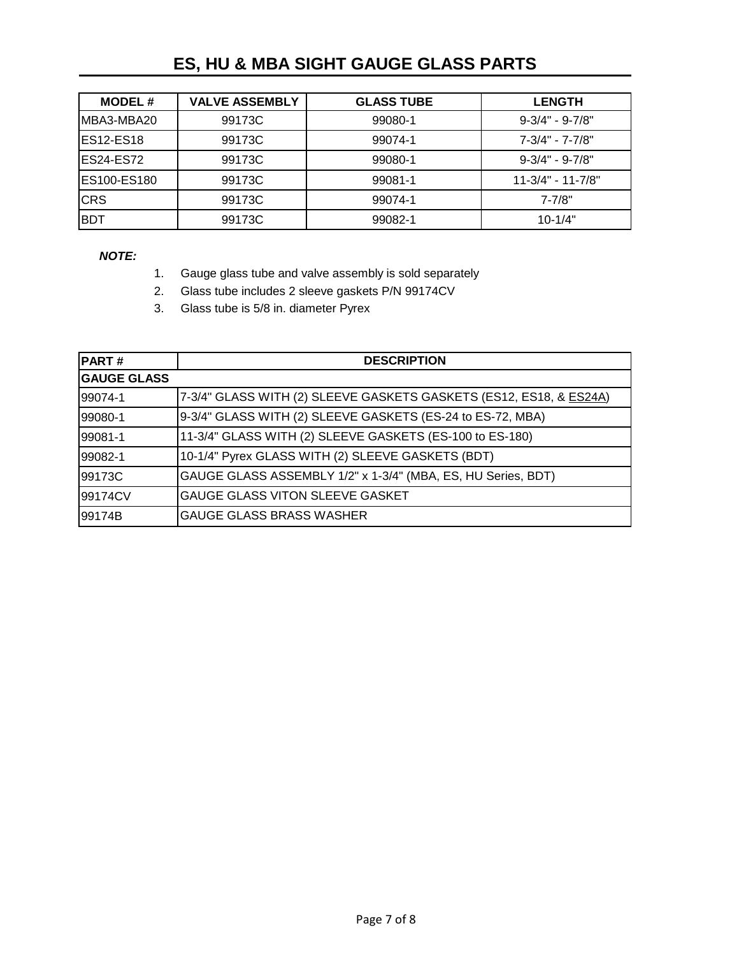## **ES, HU & MBA SIGHT GAUGE GLASS PARTS**

| <b>MODEL#</b> | <b>VALVE ASSEMBLY</b> | <b>GLASS TUBE</b> | <b>LENGTH</b>         |
|---------------|-----------------------|-------------------|-----------------------|
| MBA3-MBA20    | 99173C                | 99080-1           | $9 - 3/4" - 9 - 7/8"$ |
| ES12-ES18     | 99173C                | 99074-1           | 7-3/4" - 7-7/8"       |
| ES24-ES72     | 99173C                | 99080-1           | $9 - 3/4" - 9 - 7/8"$ |
| ES100-ES180   | 99173C                | 99081-1           | $11-3/4" - 11-7/8"$   |
| <b>CRS</b>    | 99173C                | 99074-1           | $7 - 7/8"$            |
| <b>BDT</b>    | 99173C                | 99082-1           | $10 - 1/4"$           |

*NOTE:* 

- 1. Gauge glass tube and valve assembly is sold separately
- 2. Glass tube includes 2 sleeve gaskets P/N 99174CV
- 3. Glass tube is 5/8 in. diameter Pyrex

| <b>PART#</b>       | <b>DESCRIPTION</b>                                                 |
|--------------------|--------------------------------------------------------------------|
| <b>GAUGE GLASS</b> |                                                                    |
| 99074-1            | 7-3/4" GLASS WITH (2) SLEEVE GASKETS GASKETS (ES12, ES18, & ES24A) |
| 99080-1            | 9-3/4" GLASS WITH (2) SLEEVE GASKETS (ES-24 to ES-72, MBA)         |
| 99081-1            | 11-3/4" GLASS WITH (2) SLEEVE GASKETS (ES-100 to ES-180)           |
| 99082-1            | 10-1/4" Pyrex GLASS WITH (2) SLEEVE GASKETS (BDT)                  |
| 99173C             | GAUGE GLASS ASSEMBLY 1/2" x 1-3/4" (MBA, ES, HU Series, BDT)       |
| 99174CV            | GAUGE GLASS VITON SLEEVE GASKET                                    |
| 99174B             | <b>GAUGE GLASS BRASS WASHER</b>                                    |